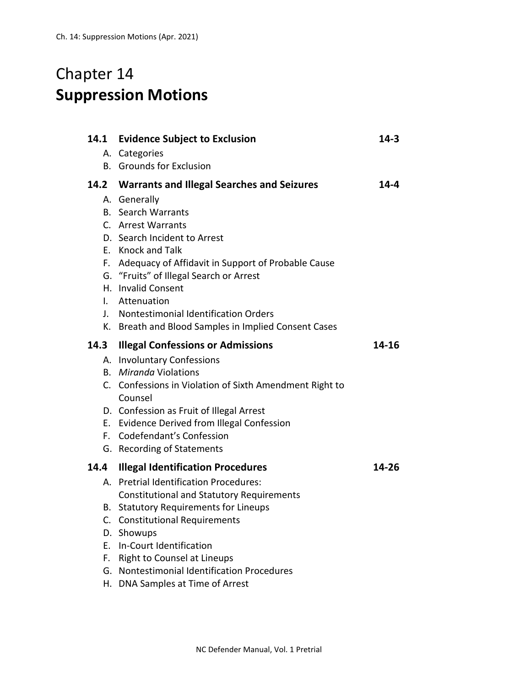## Chapter 14 **Suppression Motions**

| 14.1 | <b>Evidence Subject to Exclusion</b>                                                             | 14-3  |
|------|--------------------------------------------------------------------------------------------------|-------|
|      | A. Categories                                                                                    |       |
|      | <b>B.</b> Grounds for Exclusion                                                                  |       |
|      | 14.2 Warrants and Illegal Searches and Seizures                                                  | 14-4  |
|      | A. Generally                                                                                     |       |
|      | <b>B.</b> Search Warrants                                                                        |       |
|      | C. Arrest Warrants                                                                               |       |
|      | D. Search Incident to Arrest                                                                     |       |
|      | E. Knock and Talk                                                                                |       |
|      | F. Adequacy of Affidavit in Support of Probable Cause<br>G. "Fruits" of Illegal Search or Arrest |       |
|      | H. Invalid Consent                                                                               |       |
| I.   | Attenuation                                                                                      |       |
| J.   | Nontestimonial Identification Orders                                                             |       |
|      | K. Breath and Blood Samples in Implied Consent Cases                                             |       |
| 14.3 | <b>Illegal Confessions or Admissions</b>                                                         | 14-16 |
|      | A. Involuntary Confessions                                                                       |       |
|      |                                                                                                  |       |
|      | <b>B.</b> Miranda Violations                                                                     |       |
|      | C. Confessions in Violation of Sixth Amendment Right to<br>Counsel                               |       |
|      | D. Confession as Fruit of Illegal Arrest                                                         |       |
|      | E. Evidence Derived from Illegal Confession                                                      |       |
|      | F. Codefendant's Confession                                                                      |       |
|      | G. Recording of Statements                                                                       |       |
| 14.4 | <b>Illegal Identification Procedures</b>                                                         | 14-26 |
|      | A. Pretrial Identification Procedures:                                                           |       |
|      | <b>Constitutional and Statutory Requirements</b>                                                 |       |
|      | B. Statutory Requirements for Lineups                                                            |       |
|      | C. Constitutional Requirements                                                                   |       |
|      | D. Showups                                                                                       |       |
|      | E. In-Court Identification                                                                       |       |
|      | F. Right to Counsel at Lineups<br>G. Nontestimonial Identification Procedures                    |       |

H. DNA Samples at Time of Arrest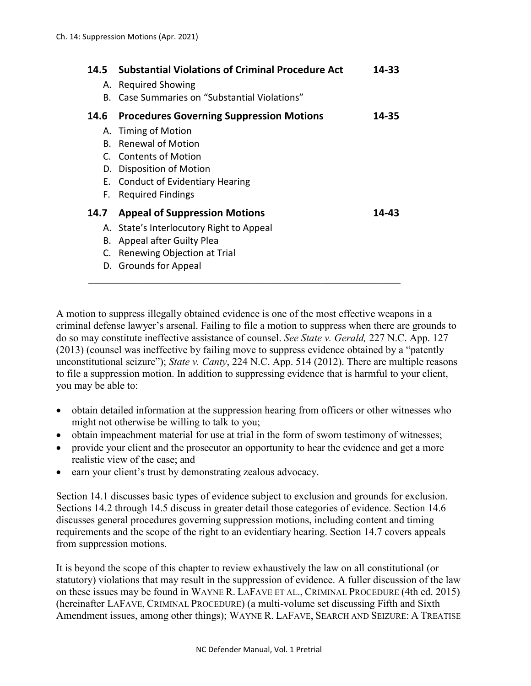| 14.5<br>Α.<br>B. | <b>Substantial Violations of Criminal Procedure Act</b><br><b>Required Showing</b><br>Case Summaries on "Substantial Violations" | 14-33 |
|------------------|----------------------------------------------------------------------------------------------------------------------------------|-------|
| 14.6             | <b>Procedures Governing Suppression Motions</b>                                                                                  | 14-35 |
|                  | A. Timing of Motion                                                                                                              |       |
|                  | B. Renewal of Motion                                                                                                             |       |
|                  | C. Contents of Motion                                                                                                            |       |
|                  | D. Disposition of Motion                                                                                                         |       |
|                  | E. Conduct of Evidentiary Hearing                                                                                                |       |
| F.               | <b>Required Findings</b>                                                                                                         |       |
| 14.7             | <b>Appeal of Suppression Motions</b>                                                                                             | 14-43 |
|                  | A. State's Interlocutory Right to Appeal                                                                                         |       |
| В.               | Appeal after Guilty Plea                                                                                                         |       |
| C.               | Renewing Objection at Trial                                                                                                      |       |
|                  | D. Grounds for Appeal                                                                                                            |       |
|                  |                                                                                                                                  |       |

A motion to suppress illegally obtained evidence is one of the most effective weapons in a criminal defense lawyer's arsenal. Failing to file a motion to suppress when there are grounds to do so may constitute ineffective assistance of counsel. *See State v. Gerald,* 227 N.C. App. 127 (2013) (counsel was ineffective by failing move to suppress evidence obtained by a "patently unconstitutional seizure"); *State v. Canty*, 224 N.C. App. 514 (2012). There are multiple reasons to file a suppression motion. In addition to suppressing evidence that is harmful to your client, you may be able to:

- obtain detailed information at the suppression hearing from officers or other witnesses who might not otherwise be willing to talk to you;
- obtain impeachment material for use at trial in the form of sworn testimony of witnesses;
- provide your client and the prosecutor an opportunity to hear the evidence and get a more realistic view of the case; and
- earn your client's trust by demonstrating zealous advocacy.

Section 14.1 discusses basic types of evidence subject to exclusion and grounds for exclusion. Sections 14.2 through 14.5 discuss in greater detail those categories of evidence. Section 14.6 discusses general procedures governing suppression motions, including content and timing requirements and the scope of the right to an evidentiary hearing. Section 14.7 covers appeals from suppression motions.

It is beyond the scope of this chapter to review exhaustively the law on all constitutional (or statutory) violations that may result in the suppression of evidence. A fuller discussion of the law on these issues may be found in WAYNE R. LAFAVE ET AL., CRIMINAL PROCEDURE (4th ed. 2015) (hereinafter LAFAVE, CRIMINAL PROCEDURE) (a multi-volume set discussing Fifth and Sixth Amendment issues, among other things); WAYNE R. LAFAVE, SEARCH AND SEIZURE: A TREATISE